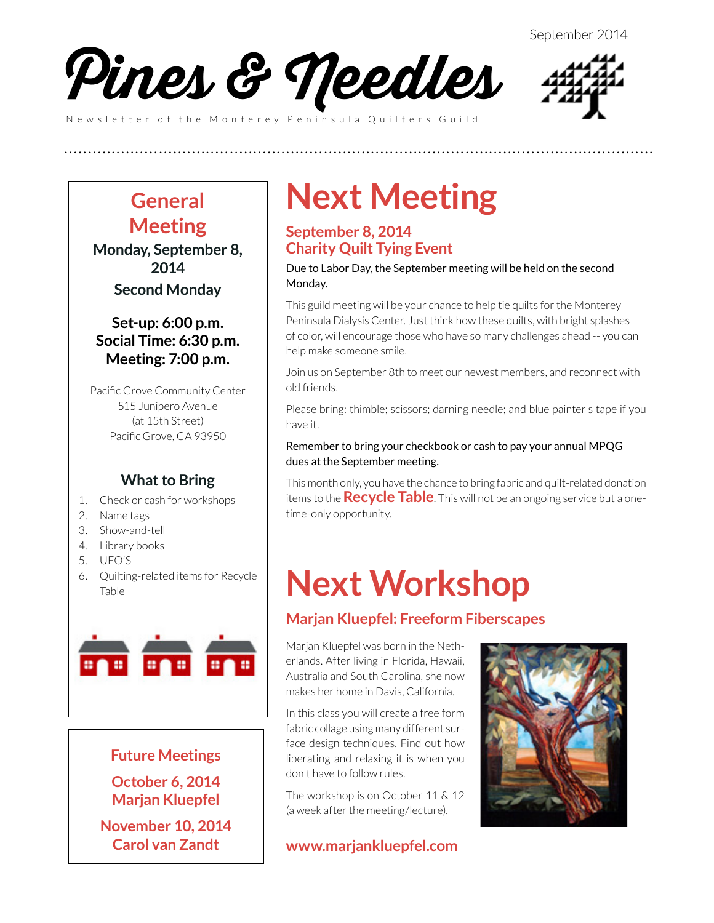



### **General Meeting**

**Monday, September 8, 2014 Second Monday**

### **Set-up: 6:00 p.m. Social Time: 6:30 p.m. Meeting: 7:00 p.m.**

Pacific Grove Community Center 515 Junipero Avenue (at 15th Street) Pacific Grove, CA 93950

### **What to Bring**

- 1. Check or cash for workshops
- 2. Name tags
- 3. Show-and-tell
- 4. Library books
- 5. UFO'S
- 6. Quilting-related items for Recycle Table



#### **Future Meetings**

**October 6, 2014 Marjan Kluepfel**

**November 10, 2014 Carol van Zandt**

# **Next Meeting**

### **September 8, 2014 Charity Quilt Tying Event**

**(((((((((((((((((((((((((**

Due to Labor Day, the September meeting will be held on the second Monday.

This guild meeting will be your chance to help tie quilts for the Monterey Peninsula Dialysis Center. Just think how these quilts, with bright splashes of color, will encourage those who have so many challenges ahead -- you can help make someone smile.

Join us on September 8th to meet our newest members, and reconnect with old friends.

Please bring: thimble; scissors; darning needle; and blue painter's tape if you have it.

#### Remember to bring your checkbook or cash to pay your annual MPQG dues at the September meeting.

This month only, you have the chance to bring fabric and quilt-related donation items to the **Recycle Table**. This will not be an ongoing service but a onetime-only opportunity.

# **Next Workshop**

### **Marjan Kluepfel: Freeform Fiberscapes**

Marjan Kluepfel was born in the Netherlands. After living in Florida, Hawaii, Australia and South Carolina, she now makes her home in Davis, California.

In this class you will create a free form fabric collage using many different surface design techniques. Find out how liberating and relaxing it is when you don't have to follow rules.

The workshop is on October 11 & 12 (a week after the meeting/lecture).

**[www.marjankluepfel.com](http://www.marjankluepfel.com)**

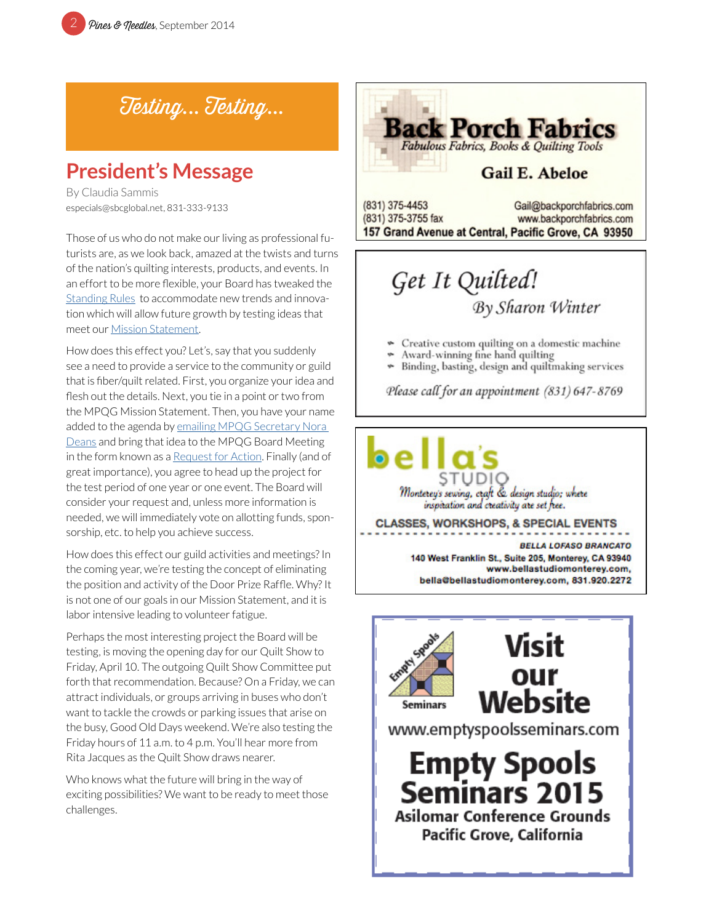Testing... Testing...

### **President's Message**

By Claudia Sammis especials@sbcglobal.net, 831-333-9133

Those of us who do not make our living as professional futurists are, as we look back, amazed at the twists and turns of the nation's quilting interests, products, and events. In an effort to be more flexible, your Board has tweaked the [Standing Rules](http://www.mpqg.org/media/uploads/2014/06/16/files/mpqg-standing-rules-2014-april.pdf) to accommodate new trends and innovation which will allow future growth by testing ideas that meet our [Mission Statement](http://www.mpqg.org/history/).

How does this effect you? Let's, say that you suddenly see a need to provide a service to the community or guild that is fiber/quilt related. First, you organize your idea and flesh out the details. Next, you tie in a point or two from the MPQG Mission Statement. Then, you have your name added to the agenda by emailing MPQG Secretary Nora [Deans](mailto:nora.deans%40gmail.com?subject=MPQG%20Agenda%20Item) and bring that idea to the MPQG Board Meeting in the form known as a [Request for Action.](http://www.mpqg.org/media/uploads/2012/09/28/files/bd_agenda.pdf) Finally (and of great importance), you agree to head up the project for the test period of one year or one event. The Board will consider your request and, unless more information is needed, we will immediately vote on allotting funds, sponsorship, etc. to help you achieve success.

How does this effect our guild activities and meetings? In the coming year, we're testing the concept of eliminating the position and activity of the Door Prize Raffle. Why? It is not one of our goals in our Mission Statement, and it is labor intensive leading to volunteer fatigue.

Perhaps the most interesting project the Board will be testing, is moving the opening day for our Quilt Show to Friday, April 10. The outgoing Quilt Show Committee put forth that recommendation. Because? On a Friday, we can attract individuals, or groups arriving in buses who don't want to tackle the crowds or parking issues that arise on the busy, Good Old Days weekend. We're also testing the Friday hours of 11 a.m. to 4 p.m. You'll hear more from Rita Jacques as the Quilt Show draws nearer.

Who knows what the future will bring in the way of exciting possibilities? We want to be ready to meet those challenges.



## Get It Quilted! **By Sharon Winter**

- ų, Creative custom quilting on a domestic machine
- Award-winning fine hand quilting
- \* Binding, basting, design and quiltmaking services

Please call for an appointment (831) 647-8769

Monterey's sewing, craft & design studio; where inspiration and creativity are set free.

**CLASSES, WORKSHOPS, & SPECIAL EVENTS** 

**BELLA LOFASO BRANCATO** 140 West Franklin St., Suite 205, Monterey, CA 93940 www.bellastudiomonterey.com, bella@bellastudiomonterey.com, 831.920.2272

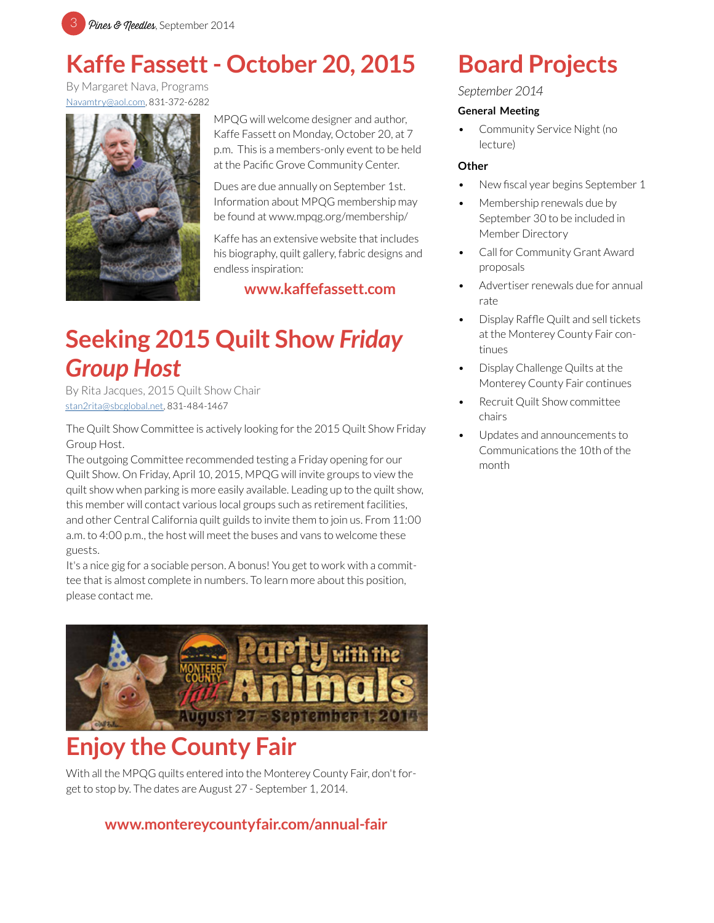

## **Kaffe Fassett - October 20, 2015**

By Margaret Nava, Programs [Navamtry@aol.com](mailto:Navamtry%40aol.com?subject=Kaffe%20Fassett), 831-372-6282



MPQG will welcome designer and author, Kaffe Fassett on Monday, October 20, at 7 p.m. This is a members-only event to be held at the Pacific Grove Community Center.

Dues are due annually on September 1st. Information about MPQG membership may be found at www.mpqg.org/membership/

Kaffe has an extensive website that includes his biography, quilt gallery, fabric designs and endless inspiration:

**[www.kaffefassett.com](mailto:http://www.kaffefassett.com/?subject=Kaffe%20Fassett%20website)**

## **Seeking 2015 Quilt Show** *Friday Group Host*

By Rita Jacques, 2015 Quilt Show Chair [stan2rita@sbcglobal.net](mailto:stan2rita%40sbcglobal.net?subject=MPQG%20Friday%20Group%20Host), 831-484-1467

The Quilt Show Committee is actively looking for the 2015 Quilt Show Friday Group Host.

The outgoing Committee recommended testing a Friday opening for our Quilt Show. On Friday, April 10, 2015, MPQG will invite groups to view the quilt show when parking is more easily available. Leading up to the quilt show, this member will contact various local groups such as retirement facilities, and other Central California quilt guilds to invite them to join us. From 11:00 a.m. to 4:00 p.m., the host will meet the buses and vans to welcome these guests.

It's a nice gig for a sociable person. A bonus! You get to work with a committee that is almost complete in numbers. To learn more about this position, please contact me.



## **Enjoy the County Fair**

With all the MPQG quilts entered into the Monterey County Fair, don't forget to stop by. The dates are August 27 - September 1, 2014.

### **www.montereycountyfair.com/annual-fair**

## **Board Projects**

#### *September 2014*

#### **General Meeting**

• Community Service Night (no lecture)

#### **Other**

- New fiscal year begins September 1
- Membership renewals due by September 30 to be included in Member Directory
- Call for Community Grant Award proposals
- Advertiser renewals due for annual rate
- Display Raffle Quilt and sell tickets at the Monterey County Fair continues
- Display Challenge Quilts at the Monterey County Fair continues
- Recruit Quilt Show committee chairs
- Updates and announcements to Communications the 10th of the month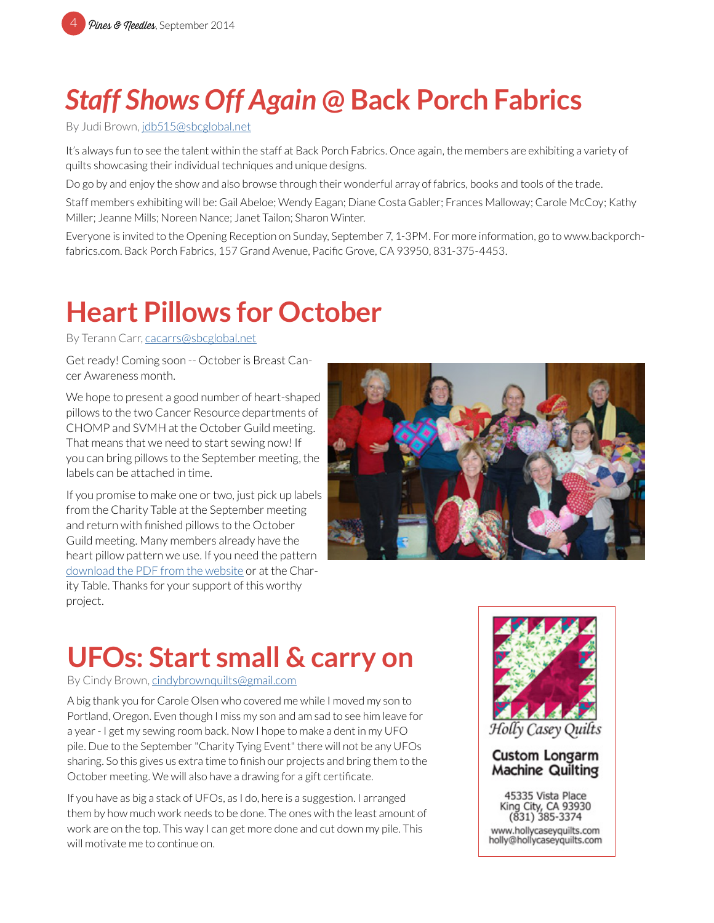# *Staff Shows Off Again* **@ Back Porch Fabrics**

By Judi Brown, [jdb515@sbcglobal.net](mailto:jdb515%40sbcglobal.net?subject=MPQG)

It's always fun to see the talent within the staff at Back Porch Fabrics. Once again, the members are exhibiting a variety of quilts showcasing their individual techniques and unique designs.

Do go by and enjoy the show and also browse through their wonderful array of fabrics, books and tools of the trade.

Staff members exhibiting will be: Gail Abeloe; Wendy Eagan; Diane Costa Gabler; Frances Malloway; Carole McCoy; Kathy Miller; Jeanne Mills; Noreen Nance; Janet Tailon; Sharon Winter.

Everyone is invited to the Opening Reception on Sunday, September 7, 1-3PM. For more information, go to www.backporchfabrics.com. Back Porch Fabrics, 157 Grand Avenue, Pacific Grove, CA 93950, 831-375-4453.

# **Heart Pillows for October**

By Terann Carr, [cacarrs@sbcglobal.net](mailto:cacarrs%40sbcglobal.net?subject=MPQG%20Heart%20Pillows)

Get ready! Coming soon -- October is Breast Cancer Awareness month.

We hope to present a good number of heart-shaped pillows to the two Cancer Resource departments of CHOMP and SVMH at the October Guild meeting. That means that we need to start sewing now! If you can bring pillows to the September meeting, the labels can be attached in time.

If you promise to make one or two, just pick up labels from the Charity Table at the September meeting and return with finished pillows to the October Guild meeting. Many members already have the heart pillow pattern we use. If you need the pattern [download the PDF from the website](mailto:http://www.mpqg.org/media/uploads/2012/07/08/files/heart.pdf?subject=) or at the Charity Table. Thanks for your support of this worthy project.



## **UFOs: Start small & carry on**

By Cindy Brown, [cindybrownquilts@gmail.com](mailto:cindybrownquilts%40gmail.com?subject=MPQG%20UFOs)

A big thank you for Carole Olsen who covered me while I moved my son to Portland, Oregon. Even though I miss my son and am sad to see him leave for a year - I get my sewing room back. Now I hope to make a dent in my UFO pile. Due to the September "Charity Tying Event" there will not be any UFOs sharing. So this gives us extra time to finish our projects and bring them to the October meeting. We will also have a drawing for a gift certificate.

If you have as big a stack of UFOs, as I do, here is a suggestion. I arranged them by how much work needs to be done. The ones with the least amount of work are on the top. This way I can get more done and cut down my pile. This will motivate me to continue on.



Holly Casey Quilts

#### **Custom Longarm Machine Quilting**

45335 Vista Place King City, CA 93930 (831) 385-3374 www.hollycaseyquilts.com holly@hollycaseyquilts.com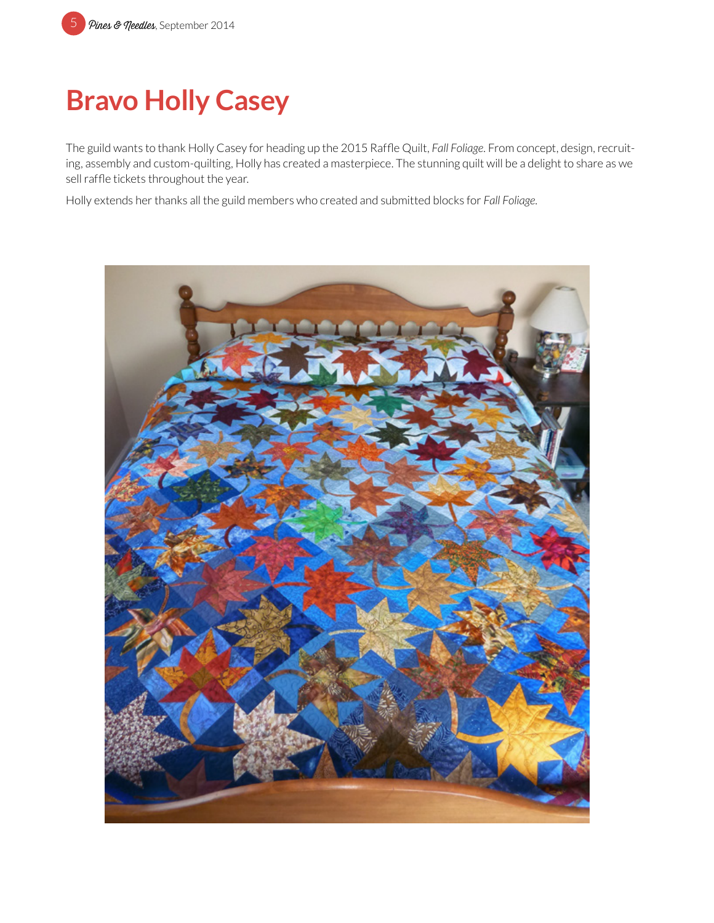# **Bravo Holly Casey**

The guild wants to thank Holly Casey for heading up the 2015 Raffle Quilt, *Fall Foliage*. From concept, design, recruiting, assembly and custom-quilting, Holly has created a masterpiece. The stunning quilt will be a delight to share as we sell raffle tickets throughout the year.

Holly extends her thanks all the guild members who created and submitted blocks for *Fall Foliage.*

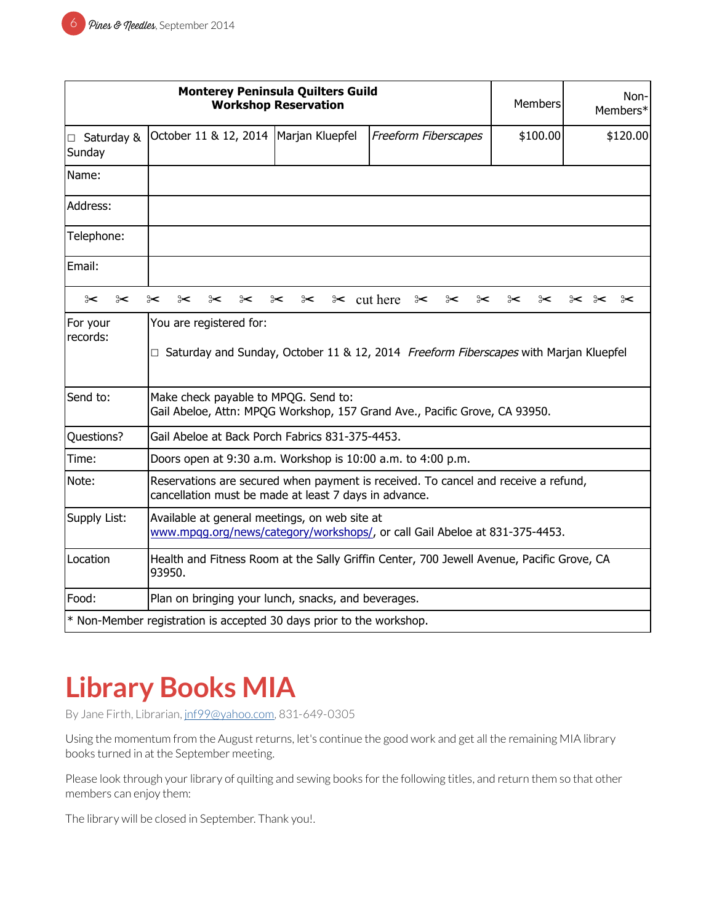| <b>Monterey Peninsula Quilters Guild</b><br><b>Workshop Reservation</b> |                                                                                                                                             |                              | Members              | Non-<br>Members* |          |
|-------------------------------------------------------------------------|---------------------------------------------------------------------------------------------------------------------------------------------|------------------------------|----------------------|------------------|----------|
| □ Saturday &<br>Sunday                                                  | October 11 & 12, 2014                                                                                                                       | Marjan Kluepfel              | Freeform Fiberscapes | \$100.00         | \$120.00 |
| Name:                                                                   |                                                                                                                                             |                              |                      |                  |          |
| Address:                                                                |                                                                                                                                             |                              |                      |                  |          |
| Telephone:                                                              |                                                                                                                                             |                              |                      |                  |          |
| Email:                                                                  |                                                                                                                                             |                              |                      |                  |          |
| $\approx$<br>$\approx$                                                  | ⊱<br>⊱<br>⊱<br>⊱                                                                                                                            | $\approx$ cut here<br>⊱<br>⊱ | ⊱<br>⊱<br>⊱          | ⊱<br>⊱           | ⊱<br>⊱<  |
| For your<br>records:                                                    | You are registered for:<br>□ Saturday and Sunday, October 11 & 12, 2014 Freeform Fiberscapes with Marjan Kluepfel                           |                              |                      |                  |          |
| Send to:                                                                | Make check payable to MPQG. Send to:<br>Gail Abeloe, Attn: MPQG Workshop, 157 Grand Ave., Pacific Grove, CA 93950.                          |                              |                      |                  |          |
| Questions?                                                              | Gail Abeloe at Back Porch Fabrics 831-375-4453.                                                                                             |                              |                      |                  |          |
| Time:                                                                   | Doors open at 9:30 a.m. Workshop is 10:00 a.m. to 4:00 p.m.                                                                                 |                              |                      |                  |          |
| Note:                                                                   | Reservations are secured when payment is received. To cancel and receive a refund,<br>cancellation must be made at least 7 days in advance. |                              |                      |                  |          |
| Supply List:                                                            | Available at general meetings, on web site at<br>www.mpqg.org/news/category/workshops/, or call Gail Abeloe at 831-375-4453.                |                              |                      |                  |          |
| Location                                                                | Health and Fitness Room at the Sally Griffin Center, 700 Jewell Avenue, Pacific Grove, CA<br>93950.                                         |                              |                      |                  |          |
| Food:                                                                   | Plan on bringing your lunch, snacks, and beverages.                                                                                         |                              |                      |                  |          |
| * Non-Member registration is accepted 30 days prior to the workshop.    |                                                                                                                                             |                              |                      |                  |          |

# **Library Books MIA**

By Jane Firth, Librarian, [jnf99@yahoo.com](mailto:jnf99%40yahoo.com?subject=MPQG%20Library%20Books), 831-649-0305

Using the momentum from the August returns, let's continue the good work and get all the remaining MIA library books turned in at the September meeting.

Please look through your library of quilting and sewing books for the following titles, and return them so that other members can enjoy them:

The library will be closed in September. Thank you!.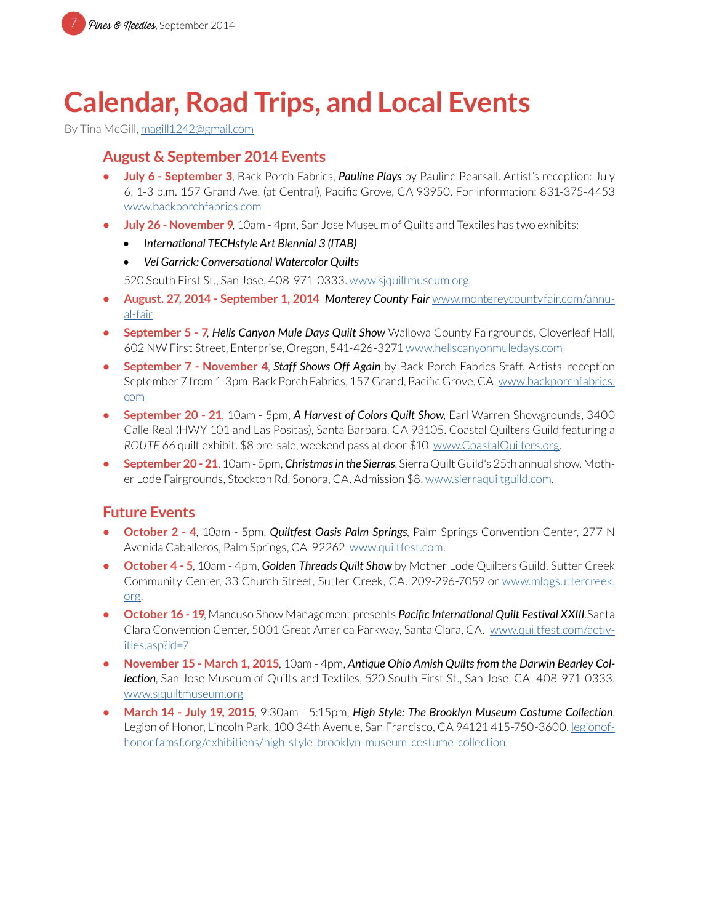## **Calendar, Road Trips, and Local Events**

By Tina McGill, [magill1242@gmail.com](mailto:magill1242%40gmail.com?subject=MPQG%20Calendar)

### **August & September 2014 Events**

- **• July 6 September 3**, Back Porch Fabrics, *Pauline Plays* by Pauline Pearsall. Artist's reception: July 6, 1-3 p.m. 157 Grand Ave. (at Central), Pacific Grove, CA 93950. For information: 831-375-4453 [www.backporchfabrics.com](http://www.backporchfabrics.com)
- **• July 26 November 9**, 10am 4pm, San Jose Museum of Quilts and Textiles has two exhibits:
	- *• International TECHstyle Art Biennial 3 (ITAB)*
	- *• Vel Garrick: Conversational Watercolor Quilts*

520 South First St., San Jose, 408-971-0333. [www.sjquiltmuseum.or](http://www.sjquiltmuseum.org)g

- **• August. 27, 2014 September 1, 2014** *Monterey County Fair* [www.montereycountyfair.com/annu](http://www.montereycountyfair.com/annual-fair)[al-fair](http://www.montereycountyfair.com/annual-fair)
- **• September 5 7**, *Hells Canyon Mule Days Quilt Show* Wallowa County Fairgrounds, Cloverleaf Hall, 602 NW First Street, Enterprise, Oregon, 541-426-3271 [www.hellscanyonmuledays.com](http://www.hellscanyonmuledays.com)
- **• September 7 November 4**, *Staff Shows Off Again* by Back Porch Fabrics Staff. Artists' reception September 7 from 1-3pm. Back Porch Fabrics, 157 Grand, Pacific Grove, CA. [www.backporchfabrics.](http://www.backporchfabrics.com) [com](http://www.backporchfabrics.com)
- **• September 20 21**, 10am 5pm, *A Harvest of Colors Quilt Show*, Earl Warren Showgrounds, 3400 Calle Real (HWY 101 and Las Positas), Santa Barbara, CA 93105. Coastal Quilters Guild featuring a *ROUTE 66* quilt exhibit. \$8 pre-sale, weekend pass at door \$10. [www.CoastalQuilters.org.](http://www.CoastalQuilters.org)
- **• September 20 21**, 10am 5pm, *Christmas in the Sierras*, Sierra Quilt Guild's 25th annual show. Mother Lode Fairgrounds, Stockton Rd, Sonora, CA. Admission \$8. [www.sierraquiltguild.com](http://www.sierraquiltguild.com).

### **Future Events**

- **• October 2 4**, 10am 5pm, *Quiltfest Oasis Palm Springs*, Palm Springs Convention Center, 277 N Avenida Caballeros, Palm Springs, CA 92262 [www.quiltfest.com](http://www.quiltfest.com).
- **• October 4 5**, 10am 4pm, *Golden Threads Quilt Show* by Mother Lode Quilters Guild. Sutter Creek Community Center, 33 Church Street, Sutter Creek, CA. 209-296-7059 or [www.mlqgsuttercreek.](http://www.mlqgsuttercreek.org) [org.](http://www.mlqgsuttercreek.org)
- **• October 16 19**, Mancuso Show Management presents *Pacific International Quilt Festival XXIII*.Santa Clara Convention Center, 5001 Great America Parkway, Santa Clara, CA. [www.quiltfest.com/activ](http://www.quiltfest.com/activities.asp?id=7)[ities.asp?id=7](http://www.quiltfest.com/activities.asp?id=7)
- **• November 15 March 1, 2015**, 10am 4pm, *Antique Ohio Amish Quilts from the Darwin Bearley Collection*, San Jose Museum of Quilts and Textiles, 520 South First St., San Jose, CA 408-971-0333. [www.sjquiltmuseum.org](http://www.sjquiltmuseum.org)
- **• March 14 July 19, 2015**, 9:30am 5:15pm, *High Style: The Brooklyn Museum Costume Collection*, Legion of Honor, Lincoln Park, 100 34th Avenue, San Francisco, CA 94121 415-750-3600. [legionof](ttp://legionofhonor.famsf.org/exhibitions/high-style-brooklyn-museum-costume-collection)[honor.famsf.org/exhibitions/high-style-brooklyn-museum-costume-collection](ttp://legionofhonor.famsf.org/exhibitions/high-style-brooklyn-museum-costume-collection)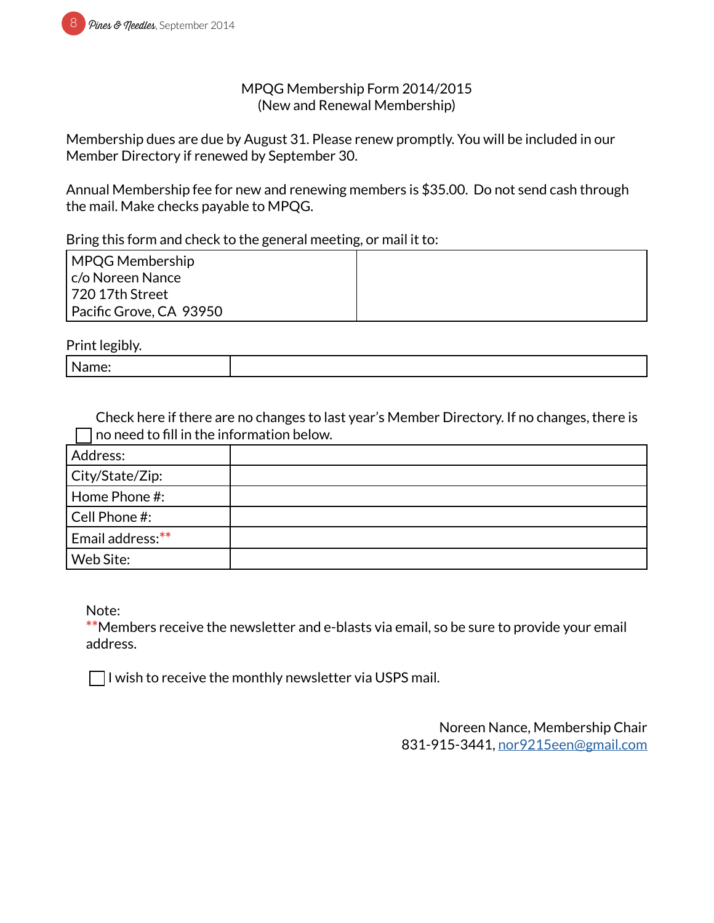#### MPQG Membership Form 2014/2015 (New and Renewal Membership)

Membership dues are due by August 31. Please renew promptly. You will be included in our Member Directory if renewed by September 30.

Annual Membership fee for new and renewing members is \$35.00. Do not send cash through the mail. Make checks payable to MPQG.

Bring this form and check to the general meeting, or mail it to:

| MPQG Membership         |  |
|-------------------------|--|
| c/o Noreen Nance        |  |
| l 720 17th Street       |  |
| Pacific Grove, CA 93950 |  |

Print legibly.

| . .<br>N<br>. |  |
|---------------|--|
|               |  |

Check here if there are no changes to last year's Member Directory. If no changes, there is no need to fill in the information below.

| Address:          |  |
|-------------------|--|
| City/State/Zip:   |  |
| Home Phone #:     |  |
| $ $ Cell Phone #: |  |
| Email address:**  |  |
| Web Site:         |  |

Note:

**\*\***Members receive the newsletter and e-blasts via email, so be sure to provide your email address.

 $\Box$  I wish to receive the monthly newsletter via USPS mail.

Noreen Nance, Membership Chair 831-915-3441, [nor9215een@gmail.com](mailto:nor9215een%40gmail.com?subject=MPQG%20Membership)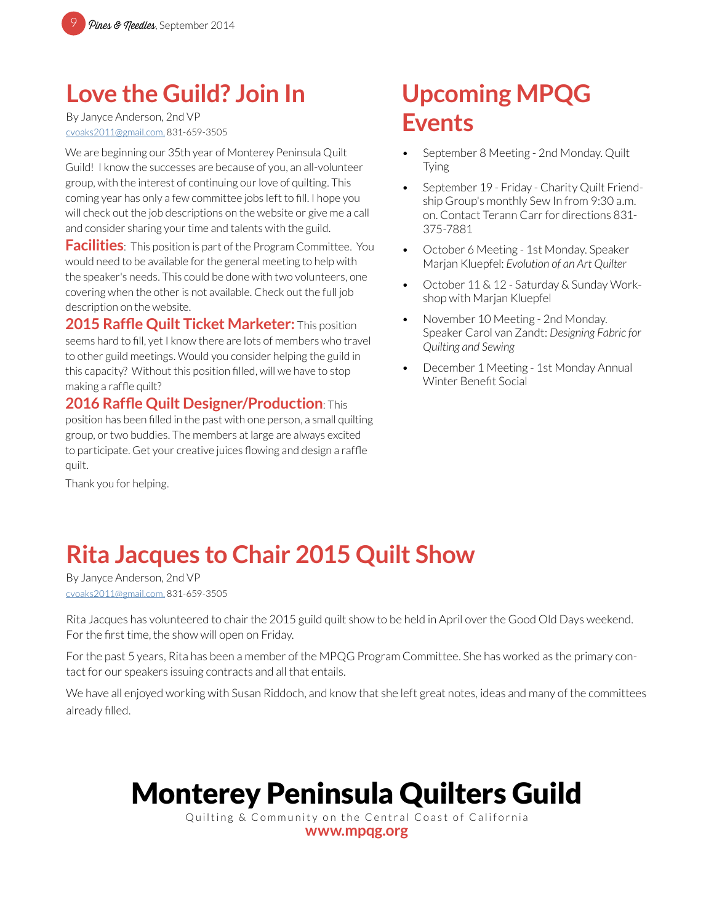## **Love the Guild? Join In**

By Janyce Anderson, 2nd VP cvoaks2011@gmail.com, 831-659-3505

We are beginning our 35th year of Monterey Peninsula Quilt Guild! I know the successes are because of you, an all-volunteer group, with the interest of continuing our love of quilting. This coming year has only a few committee jobs left to fill. I hope you will check out the job descriptions on the website or give me a call and consider sharing your time and talents with the guild.

**Facilities**: This position is part of the Program Committee. You would need to be available for the general meeting to help with the speaker's needs. This could be done with two volunteers, one covering when the other is not available. Check out the full job description on the website.

**2015 Raffle Quilt Ticket Marketer:** This position seems hard to fill, yet I know there are lots of members who travel to other guild meetings. Would you consider helping the guild in this capacity? Without this position filled, will we have to stop making a raffle quilt?

**2016 Raffle Quilt Designer/Production**: This position has been filled in the past with one person, a small quilting group, or two buddies. The members at large are always excited to participate. Get your creative juices flowing and design a raffle quilt.

Thank you for helping.

## **Upcoming MPQG Events**

- September 8 Meeting 2nd Monday. Quilt Tying
- September 19 Friday Charity Quilt Friendship Group's monthly Sew In from 9:30 a.m. on. Contact Terann Carr for directions 831- 375-7881
- October 6 Meeting 1st Monday. Speaker Marjan Kluepfel: *Evolution of an Art Quilter*
- October 11 & 12 Saturday & Sunday Workshop with Marjan Kluepfel
- November 10 Meeting 2nd Monday. Speaker Carol van Zandt: *Designing Fabric for Quilting and Sewing*
- December 1 Meeting 1st Monday Annual Winter Benefit Social

## **Rita Jacques to Chair 2015 Quilt Show**

By Janyce Anderson, 2nd VP cvoaks2011@gmail.com, 831-659-3505

Rita Jacques has volunteered to chair the 2015 guild quilt show to be held in April over the Good Old Days weekend. For the first time, the show will open on Friday.

For the past 5 years, Rita has been a member of the MPQG Program Committee. She has worked as the primary contact for our speakers issuing contracts and all that entails.

We have all enjoyed working with Susan Riddoch, and know that she left great notes, ideas and many of the committees already filled.

# Monterey Peninsula Quilters Guild

Quilting & Community on the Central Coast of California

**[www.mpqg.org](http://www.mpqg.org)**